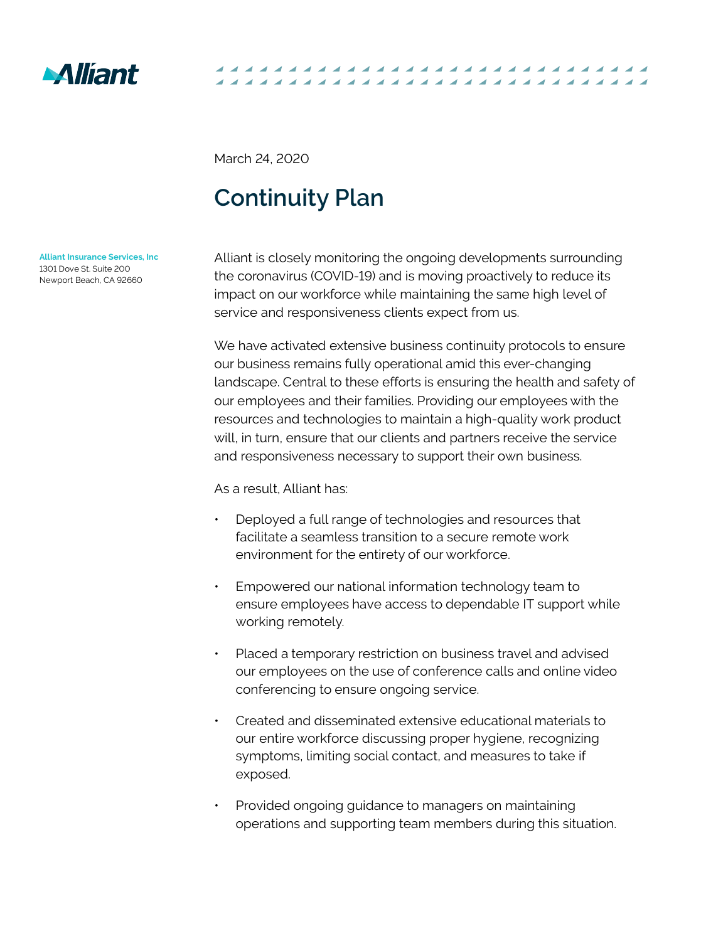

March 24, 2020

## **Continuity Plan**

**Alliant Insurance Services, Inc** 1301 Dove St. Suite 200 Newport Beach, CA 92660

Alliant is closely monitoring the ongoing developments surrounding the coronavirus (COVID-19) and is moving proactively to reduce its impact on our workforce while maintaining the same high level of service and responsiveness clients expect from us.

---------------------

We have activated extensive business continuity protocols to ensure our business remains fully operational amid this ever-changing landscape. Central to these efforts is ensuring the health and safety of our employees and their families. Providing our employees with the resources and technologies to maintain a high-quality work product will, in turn, ensure that our clients and partners receive the service and responsiveness necessary to support their own business.

As a result, Alliant has:

- Deployed a full range of technologies and resources that facilitate a seamless transition to a secure remote work environment for the entirety of our workforce.
- Empowered our national information technology team to ensure employees have access to dependable IT support while working remotely.
- Placed a temporary restriction on business travel and advised our employees on the use of conference calls and online video conferencing to ensure ongoing service.
- Created and disseminated extensive educational materials to our entire workforce discussing proper hygiene, recognizing symptoms, limiting social contact, and measures to take if exposed.
- Provided ongoing guidance to managers on maintaining operations and supporting team members during this situation.